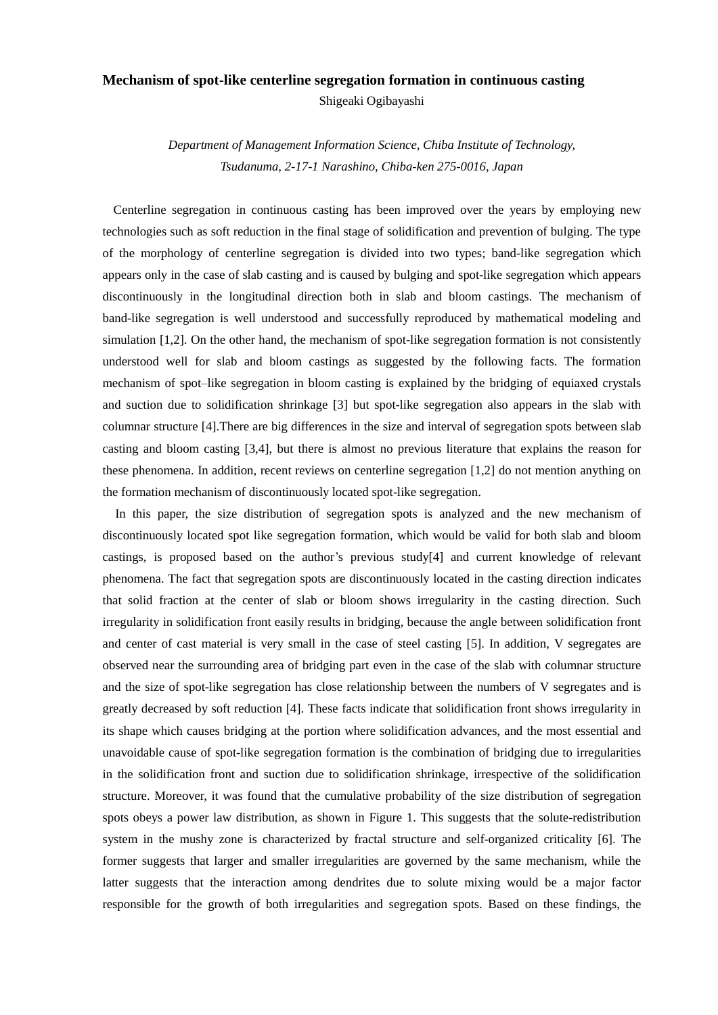## **Mechanism of spot-like centerline segregation formation in continuous casting**

Shigeaki Ogibayashi

*Department of Management Information Science, Chiba Institute of Technology, Tsudanuma, 2-17-1 Narashino, Chiba-ken 275-0016, Japan*

Centerline segregation in continuous casting has been improved over the years by employing new technologies such as soft reduction in the final stage of solidification and prevention of bulging. The type of the morphology of centerline segregation is divided into two types; band-like segregation which appears only in the case of slab casting and is caused by bulging and spot-like segregation which appears discontinuously in the longitudinal direction both in slab and bloom castings. The mechanism of band-like segregation is well understood and successfully reproduced by mathematical modeling and simulation [1,2]. On the other hand, the mechanism of spot-like segregation formation is not consistently understood well for slab and bloom castings as suggested by the following facts. The formation mechanism of spot–like segregation in bloom casting is explained by the bridging of equiaxed crystals and suction due to solidification shrinkage [3] but spot-like segregation also appears in the slab with columnar structure [4].There are big differences in the size and interval of segregation spots between slab casting and bloom casting [3,4], but there is almost no previous literature that explains the reason for these phenomena. In addition, recent reviews on centerline segregation [1,2] do not mention anything on the formation mechanism of discontinuously located spot-like segregation.

In this paper, the size distribution of segregation spots is analyzed and the new mechanism of discontinuously located spot like segregation formation, which would be valid for both slab and bloom castings, is proposed based on the author's previous study[4] and current knowledge of relevant phenomena. The fact that segregation spots are discontinuously located in the casting direction indicates that solid fraction at the center of slab or bloom shows irregularity in the casting direction. Such irregularity in solidification front easily results in bridging, because the angle between solidification front and center of cast material is very small in the case of steel casting [5]. In addition, V segregates are observed near the surrounding area of bridging part even in the case of the slab with columnar structure and the size of spot-like segregation has close relationship between the numbers of V segregates and is greatly decreased by soft reduction [4]. These facts indicate that solidification front shows irregularity in its shape which causes bridging at the portion where solidification advances, and the most essential and unavoidable cause of spot-like segregation formation is the combination of bridging due to irregularities in the solidification front and suction due to solidification shrinkage, irrespective of the solidification structure. Moreover, it was found that the cumulative probability of the size distribution of segregation spots obeys a power law distribution, as shown in Figure 1. This suggests that the solute-redistribution system in the mushy zone is characterized by fractal structure and self-organized criticality [6]. The former suggests that larger and smaller irregularities are governed by the same mechanism, while the latter suggests that the interaction among dendrites due to solute mixing would be a major factor responsible for the growth of both irregularities and segregation spots. Based on these findings, the